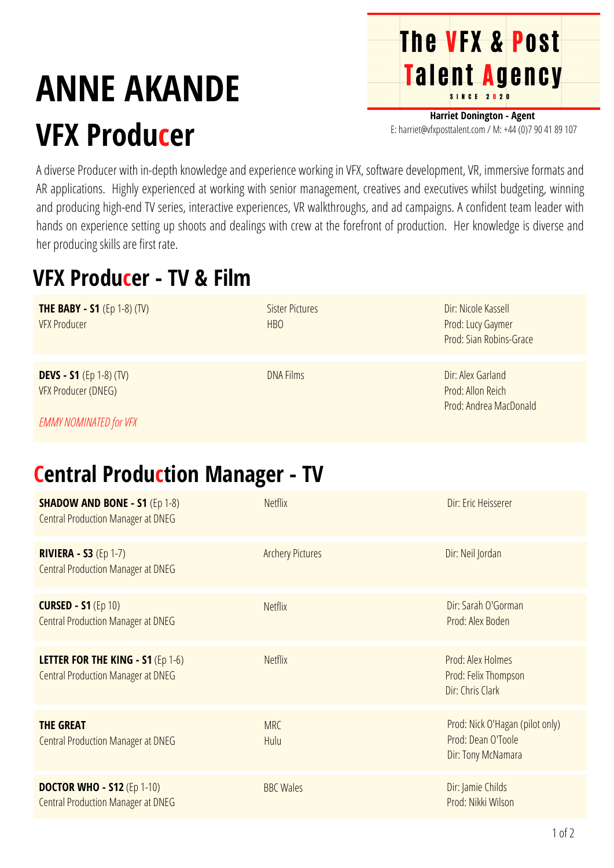# **ANNE AKANDE VFX Producer**

**Harriet Donington - Agent** E: harriet@vfxposttalent.com / M:+44(0)7904189107

**The VFX & Post** 

Talent Agency

A diverse Producer with in-depth knowledge and experience working in VFX, software development, VR, immersive formats and AR applications. Highly experienced at working with senior management, creatives and executives whilst budgeting, winning and producing high-end TV series, interactive experiences, VR walkthroughs, and ad campaigns. A confident team leader with hands on experience setting up shoots and dealings with crew at the forefront of production. Her knowledge is diverse and her producing skills are first rate.

## **VFX Producer - TV & Film**

| <b>THE BABY - S1</b> (Ep 1-8) (TV)<br><b>VFX Producer</b> | <b>Sister Pictures</b><br>H <sub>B</sub> O | Dir: Nicole Kassell<br>Prod: Lucy Gaymer<br>Prod: Sian Robins-Grace |
|-----------------------------------------------------------|--------------------------------------------|---------------------------------------------------------------------|
| <b>DEVS - S1</b> (Ep 1-8) (TV)<br>VFX Producer (DNEG)     | <b>DNA Films</b>                           | Dir: Alex Garland<br>Prod: Allon Reich<br>Prod: Andrea MacDonald    |

*EMMY NOMINATED for VFX*

## **Central Production Manager - TV**

| <b>SHADOW AND BONE - S1 (Ep 1-8)</b><br><b>Central Production Manager at DNEG</b>     | <b>Netflix</b>          | Dir: Eric Heisserer                                                         |
|---------------------------------------------------------------------------------------|-------------------------|-----------------------------------------------------------------------------|
| <b>RIVIERA - S3 (Ep 1-7)</b><br><b>Central Production Manager at DNEG</b>             | <b>Archery Pictures</b> | Dir: Neil Jordan                                                            |
| <b>CURSED - S1 (Ep 10)</b><br><b>Central Production Manager at DNEG</b>               | <b>Netflix</b>          | Dir: Sarah O'Gorman<br>Prod: Alex Boden                                     |
| <b>LETTER FOR THE KING - S1 (Ep 1-6)</b><br><b>Central Production Manager at DNEG</b> | <b>Netflix</b>          | Prod: Alex Holmes<br>Prod: Felix Thompson<br>Dir: Chris Clark               |
| <b>THE GREAT</b><br><b>Central Production Manager at DNEG</b>                         | <b>MRC</b><br>Hulu      | Prod: Nick O'Hagan (pilot only)<br>Prod: Dean O'Toole<br>Dir: Tony McNamara |
| <b>DOCTOR WHO - S12 (Ep 1-10)</b><br><b>Central Production Manager at DNEG</b>        | <b>BBC Wales</b>        | Dir: Jamie Childs<br>Prod: Nikki Wilson                                     |